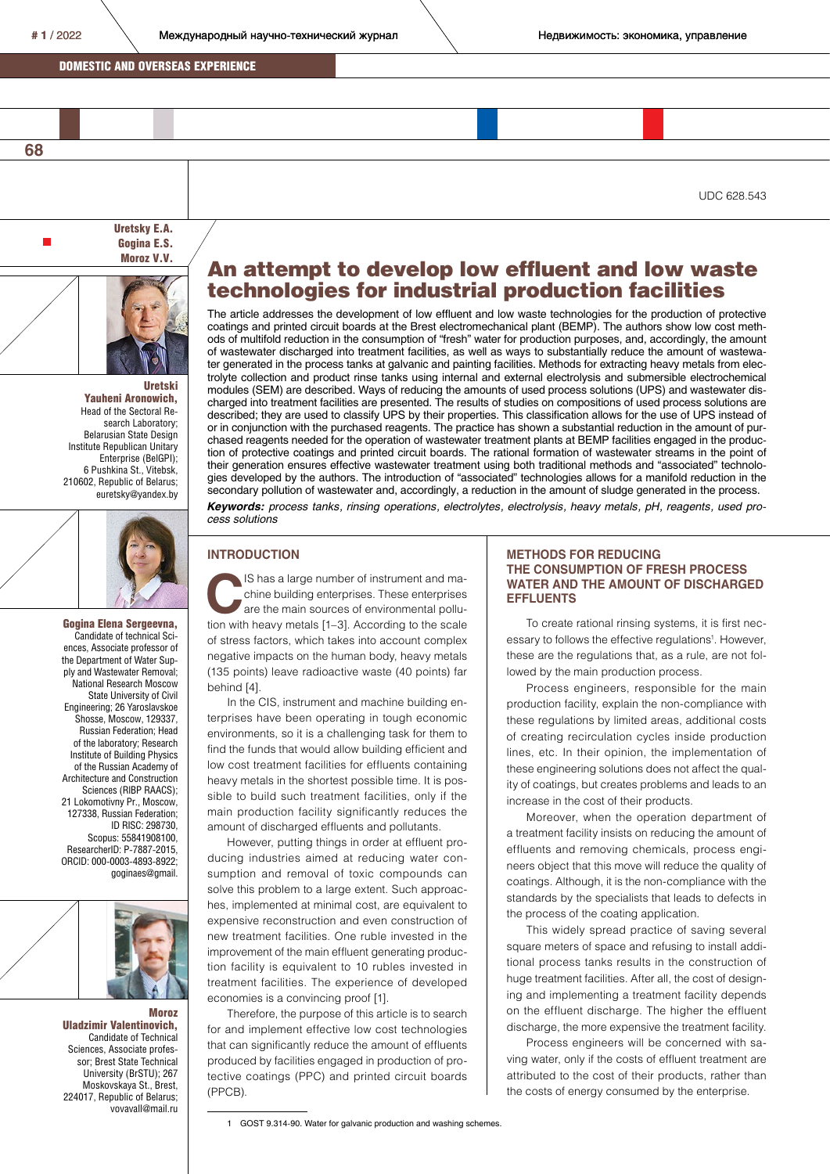**68**

п

 $#1/2022$  Международный научно-технический журнал **Negalation Heдвижимость: экономика, управление** 

## DOMESTIC AND OVERSEAS EXPERIENCE

UDC 628.543

Uretsky E.A. Gogina E.S. Moroz V.V.



Uretski Yauheni Aronowich, Head of the Sectoral Research Laboratory; Belarusian State Design Institute Republican Unitary Enterprise (BelGPI); 6 Pushkina St., Vitebsk, 210602, Republic of Belarus; euretsky@yandex.by



#### Candidate of technical Sciences, Associate professor of the Department of Water Supply and Wastewater Removal; National Research Moscow State University of Civil Engineering; 26 Yaroslavskoe Shosse, Moscow, 129337, Russian Federation; Head of the laboratory; Research Institute of Building Physics of the Russian Academy of Architecture and Construction Sciences (RIBP RAACS); 21 Lokomotivny Pr., Moscow, 127338, Russian Federation; ID RISC: 298730, Scopus: 55841908100, ResearcherID: P-7887-2015, ORCID: 000-0003-4893-8922; goginaes@gmail.

Gogina Elena Sergeevna,



Mоroz Uladzimir Valentinovich, Candidate of Technical Sciences, Associate professor; Brest State Technical University (BrSTU); 267 Moskovskaya St., Brest, 224017, Republic of Belarus; vovavall@mail.ru

# An attempt to develop low effluent and low waste technologies for industrial production facilities

The article addresses the development of low effluent and low waste technologies for the production of protective coatings and printed circuit boards at the Brest electromechanical plant (BEMP). The authors show low cost methods of multifold reduction in the consumption of "fresh" water for production purposes, and, accordingly, the amount of wastewater discharged into treatment facilities, as well as ways to substantially reduce the amount of wastewater generated in the process tanks at galvanic and painting facilities. Methods for extracting heavy metals from electrolyte collection and product rinse tanks using internal and external electrolysis and submersible electrochemical modules (SEM) are described. Ways of reducing the amounts of used process solutions (UPS) and wastewater discharged into treatment facilities are presented. The results of studies on compositions of used process solutions are described; they are used to classify UPS by their properties. This classification allows for the use of UPS instead of or in conjunction with the purchased reagents. The practice has shown a substantial reduction in the amount of purchased reagents needed for the operation of wastewater treatment plants at BEMP facilities engaged in the production of protective coatings and printed circuit boards. The rational formation of wastewater streams in the point of their generation ensures effective wastewater treatment using both traditional methods and "associated" technologies developed by the authors. The introduction of "associated" technologies allows for a manifold reduction in the secondary pollution of wastewater and, accordingly, a reduction in the amount of sludge generated in the process. *Keywords: process tanks, rinsing operations, electrolytes, electrolysis, heavy metals, pH, reagents, used process solutions*

#### **INTRODUCTION**

IS has a large number of instrument and machine building enterprises. These enterprises are the main sources of environmental pollution with heavy metals [1–3]. According to the scale of stress factors, which takes into account complex negative impacts on the human body, heavy metals (135 points) leave radioactive waste (40 points) far behind [4].

In the CIS, instrument and machine building enterprises have been operating in tough economic environments, so it is a challenging task for them to find the funds that would allow building efficient and low cost treatment facilities for effluents containing heavy metals in the shortest possible time. It is possible to build such treatment facilities, only if the main production facility significantly reduces the amount of discharged effluents and pollutants.

However, putting things in order at effluent producing industries aimed at reducing water consumption and removal of toxic compounds can solve this problem to a large extent. Such approaches, implemented at minimal cost, are equivalent to expensive reconstruction and even construction of new treatment facilities. One ruble invested in the improvement of the main effluent generating production facility is equivalent to 10 rubles invested in treatment facilities. The experience of developed economies is a convincing proof [1].

Therefore, the purpose of this article is to search for and implement effective low cost technologies that can significantly reduce the amount of effluents produced by facilities engaged in production of protective coatings (PPC) and printed circuit boards (PPCB).

### **METHODS FOR REDUCING THE CONSUMPTION OF FRESH PROCESS WATER AND THE AMOUNT OF DISCHARGED EFFLUENTS**

To create rational rinsing systems, it is first necessary to follows the effective regulations<sup>1</sup>. However, these are the regulations that, as a rule, are not followed by the main production process.

Process engineers, responsible for the main production facility, explain the non-compliance with these regulations by limited areas, additional costs of creating recirculation cycles inside production lines, etc. In their opinion, the implementation of these engineering solutions does not affect the quality of coatings, but creates problems and leads to an increase in the cost of their products.

Moreover, when the operation department of a treatment facility insists on reducing the amount of effluents and removing chemicals, process engineers object that this move will reduce the quality of coatings. Although, it is the non-compliance with the standards by the specialists that leads to defects in the process of the coating application.

This widely spread practice of saving several square meters of space and refusing to install additional process tanks results in the construction of huge treatment facilities. After all, the cost of designing and implementing a treatment facility depends on the effluent discharge. The higher the effluent discharge, the more expensive the treatment facility.

Process engineers will be concerned with saving water, only if the costs of effluent treatment are attributed to the cost of their products, rather than the costs of energy consumed by the enterprise.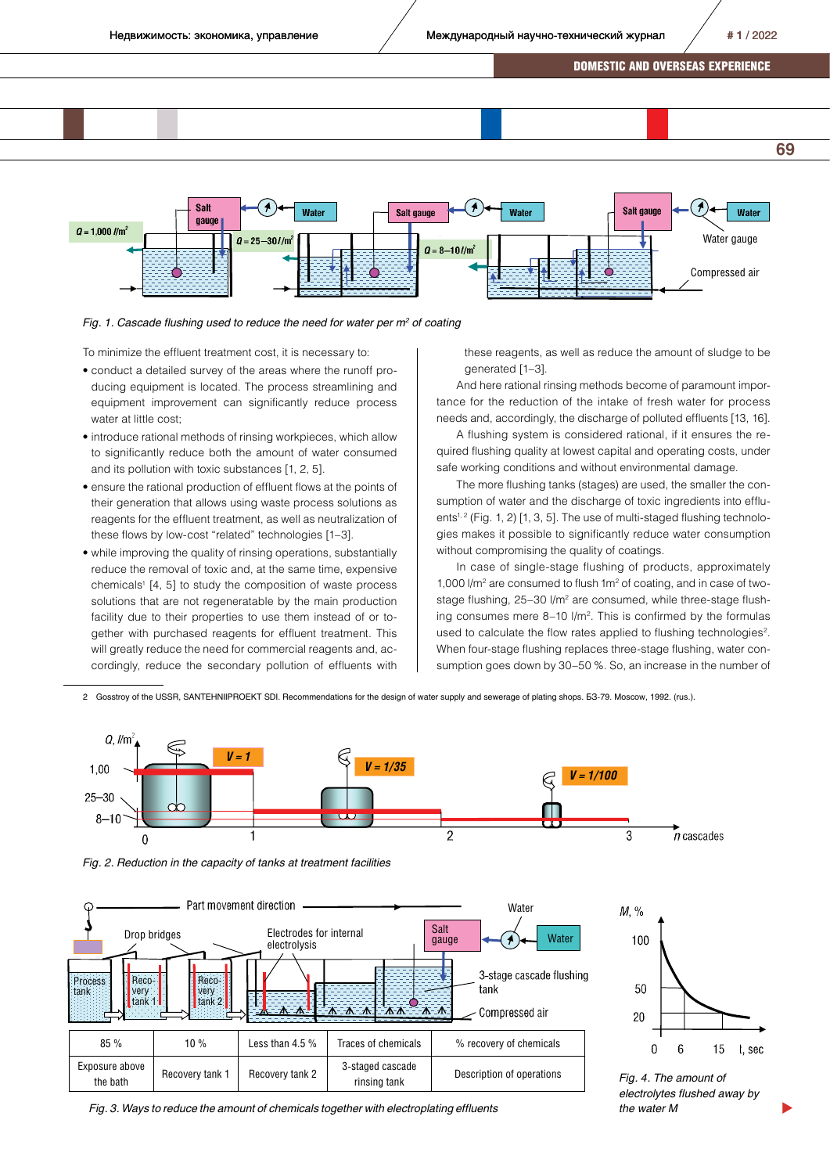



Fig. 1. Cascade flushing used to reduce the need for water per m<sup>2</sup> of coating

To minimize the effluent treatment cost, it is necessary to:

- conduct a detailed survey of the areas where the runoff producing equipment is located. The process streamlining and equipment improvement can significantly reduce process water at little cost;
- introduce rational methods of rinsing workpieces, which allow to significantly reduce both the amount of water consumed and its pollution with toxic substances [1, 2, 5].
- ensure the rational production of effluent flows at the points of their generation that allows using waste process solutions as reagents for the effluent treatment, as well as neutralization of these flows by low-cost "related" technologies [1–3].
- while improving the quality of rinsing operations, substantially reduce the removal of toxic and, at the same time, expensive chemicals<sup>1</sup> [4, 5] to study the composition of waste process solutions that are not regeneratable by the main production facility due to their properties to use them instead of or together with purchased reagents for effluent treatment. This will greatly reduce the need for commercial reagents and, accordingly, reduce the secondary pollution of effluents with

these reagents, as well as reduce the amount of sludge to be generated [1–3].

And here rational rinsing methods become of paramount importance for the reduction of the intake of fresh water for process needs and, accordingly, the discharge of polluted effluents [13, 16].

A flushing system is considered rational, if it ensures the required flushing quality at lowest capital and operating costs, under safe working conditions and without environmental damage.

The more flushing tanks (stages) are used, the smaller the consumption of water and the discharge of toxic ingredients into effluents<sup> $1, 2$ </sup> (Fig. 1, 2) [1, 3, 5]. The use of multi-staged flushing technologies makes it possible to significantly reduce water consumption without compromising the quality of coatings.

In case of single-stage flushing of products, approximately 1,000  $\rm Nm^2$  are consumed to flush 1 $\rm m^2$  of coating, and in case of twostage flushing, 25-30 l/m<sup>2</sup> are consumed, while three-stage flushing consumes mere 8-10 l/m<sup>2</sup>. This is confirmed by the formulas used to calculate the flow rates applied to flushing technologies<sup>2</sup>. When four-stage flushing replaces three-stage flushing, water consumption goes down by 30–50 %. So, an increase in the number of

2 Gosstroy of the USSR, SANTEHNIIPROEKT SDI. Recommendations for the design of water supply and sewerage of plating shops. БЗ-79. Moscow, 1992. (rus.).



*Fig. 2. Reduction in the capacity of tanks at treatment facilities* 





*Fig. 4. The amount of electrolytes flushed away by the water M* 

 $\blacktriangleright$ 

*Fig. 3. Ways to reduce the amount of chemicals together with electroplating effluents*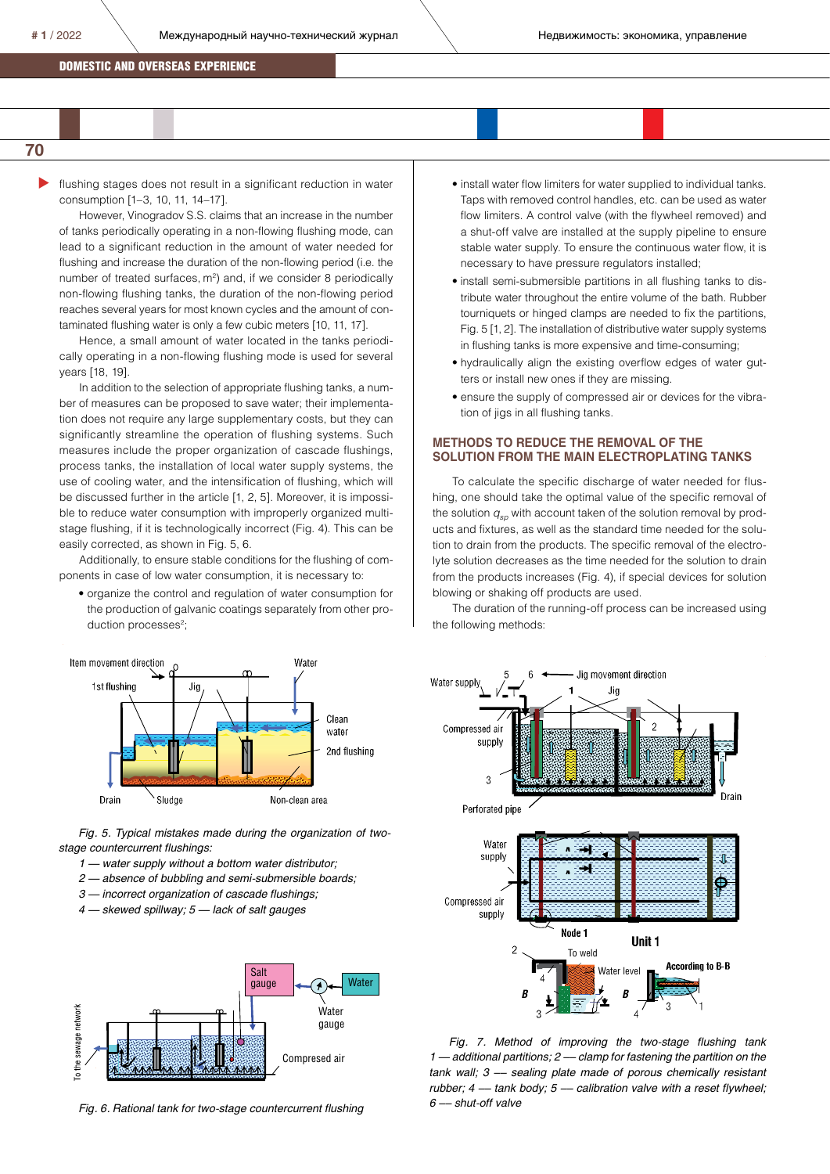# **70**

 $\blacktriangleright$ flushing stages does not result in a significant reduction in water consumption [1–3, 10, 11, 14–17].

However, Vinogradov S.S. claims that an increase in the number of tanks periodically operating in a non-flowing flushing mode, can lead to a significant reduction in the amount of water needed for flushing and increase the duration of the non-flowing period (i.e. the number of treated surfaces,  $m^2$ ) and, if we consider 8 periodically non-flowing flushing tanks, the duration of the non-flowing period reaches several years for most known cycles and the amount of contaminated flushing water is only a few cubic meters [10, 11, 17].

Hence, a small amount of water located in the tanks periodically operating in a non-flowing flushing mode is used for several years [18, 19].

In addition to the selection of appropriate flushing tanks, a number of measures can be proposed to save water; their implementation does not require any large supplementary costs, but they can significantly streamline the operation of flushing systems. Such measures include the proper organization of cascade flushings, process tanks, the installation of local water supply systems, the use of cooling water, and the intensification of flushing, which will be discussed further in the article [1, 2, 5]. Moreover, it is impossible to reduce water consumption with improperly organized multistage flushing, if it is technologically incorrect (Fig. 4). This can be easily corrected, as shown in Fig. 5, 6*.*

Additionally, to ensure stable conditions for the flushing of components in case of low water consumption, it is necessary to:

• organize the control and regulation of water consumption for the production of galvanic coatings separately from other production processes<sup>2</sup>;



*stage countercurrent flushings:*

- *1 water supply without a bottom water distributor;*
- *2 absence of bubbling and semi-submersible boards;*
- *3 incorrect organization of cascade flushings;*
- *4 skewed spillway; 5 lack of salt gauges*



*Fig. 6. Rational tank for two-stage countercurrent flushing*

- install water flow limiters for water supplied to individual tanks. Taps with removed control handles, etc. can be used as water flow limiters. A control valve (with the flywheel removed) and a shut-off valve are installed at the supply pipeline to ensure stable water supply. To ensure the continuous water flow, it is necessary to have pressure regulators installed;
- install semi-submersible partitions in all flushing tanks to distribute water throughout the entire volume of the bath. Rubber tourniquets or hinged clamps are needed to fix the partitions, Fig. 5 [1, 2]. The installation of distributive water supply systems in flushing tanks is more expensive and time-consuming;
- hydraulically align the existing overflow edges of water gutters or install new ones if they are missing.
- ensure the supply of compressed air or devices for the vibration of jigs in all flushing tanks.

### **METHODS TO REDUCE THE REMOVAL OF THE SOLUTION FROM THE MAIN ELECTROPLATING TANKS**

To calculate the specific discharge of water needed for flushing, one should take the optimal value of the specific removal of the solution  $q_{so}$  with account taken of the solution removal by products and fixtures, as well as the standard time needed for the solution to drain from the products. The specific removal of the electrolyte solution decreases as the time needed for the solution to drain from the products increases (Fig. 4), if special devices for solution blowing or shaking off products are used.

The duration of the running-off process can be increased using the following methods:

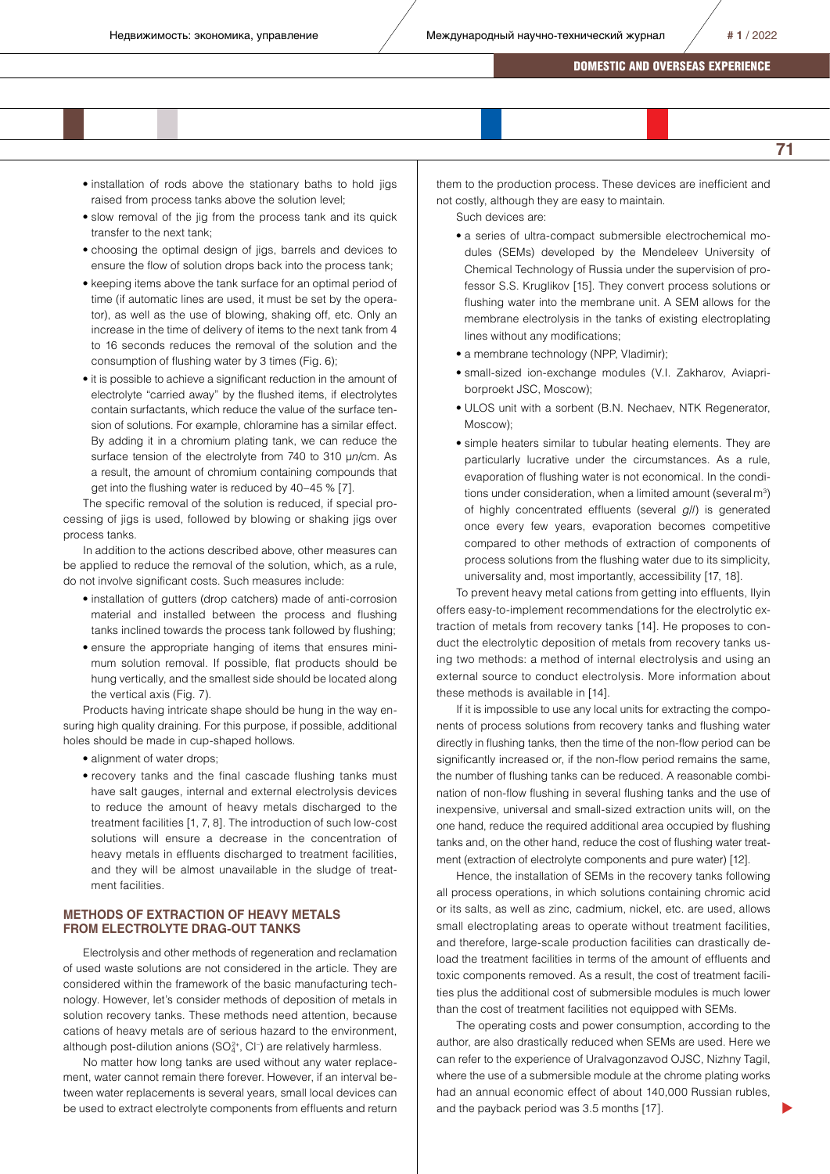- installation of rods above the stationary baths to hold jigs raised from process tanks above the solution level;
- slow removal of the jig from the process tank and its quick transfer to the next tank;
- choosing the optimal design of jigs, barrels and devices to ensure the flow of solution drops back into the process tank;
- keeping items above the tank surface for an optimal period of time (if automatic lines are used, it must be set by the operator), as well as the use of blowing, shaking off, etc. Only an increase in the time of delivery of items to the next tank from 4 to 16 seconds reduces the removal of the solution and the consumption of flushing water by 3 times (Fig. 6);
- it is possible to achieve a significant reduction in the amount of electrolyte "carried away" by the flushed items, if electrolytes contain surfactants, which reduce the value of the surface tension of solutions. For example, chloramine has a similar effect. By adding it in a chromium plating tank, we can reduce the surface tension of the electrolyte from 740 to 310 μ*n*/cm. As a result, the amount of chromium containing compounds that get into the flushing water is reduced by 40–45 % [7].

The specific removal of the solution is reduced, if special processing of jigs is used, followed by blowing or shaking jigs over process tanks.

In addition to the actions described above, other measures can be applied to reduce the removal of the solution, which, as a rule, do not involve significant costs. Such measures include:

- installation of gutters (drop catchers) made of anti-corrosion material and installed between the process and flushing tanks inclined towards the process tank followed by flushing;
- ensure the appropriate hanging of items that ensures minimum solution removal. If possible, flat products should be hung vertically, and the smallest side should be located along the vertical axis (Fig. 7).

Products having intricate shape should be hung in the way ensuring high quality draining. For this purpose, if possible, additional holes should be made in cup-shaped hollows.

- alignment of water drops;
- recovery tanks and the final cascade flushing tanks must have salt gauges, internal and external electrolysis devices to reduce the amount of heavy metals discharged to the treatment facilities [1, 7, 8]. The introduction of such low-cost solutions will ensure a decrease in the concentration of heavy metals in effluents discharged to treatment facilities, and they will be almost unavailable in the sludge of treatment facilities.

# **METHODS OF EXTRACTION OF HEAVY METALS FROM ELECTROLYTE DRAG-OUT TANKS**

Electrolysis and other methods of regeneration and reclamation of used waste solutions are not considered in the article. They are considered within the framework of the basic manufacturing technology. However, let's consider methods of deposition of metals in solution recovery tanks. These methods need attention, because cations of heavy metals are of serious hazard to the environment, although post-dilution anions (SO $2^*$ , Cl<sup>-</sup>) are relatively harmless.

No matter how long tanks are used without any water replacement, water cannot remain there forever. However, if an interval between water replacements is several years, small local devices can be used to extract electrolyte components from effluents and return them to the production process. These devices are inefficient and not costly, although they are easy to maintain.

Such devices are:

- a series of ultra-compact submersible electrochemical modules (SEMs) developed by the Mendeleev University of Chemical Technology of Russia under the supervision of professor S.S. Kruglikov [15]. They convert process solutions or flushing water into the membrane unit. A SEM allows for the membrane electrolysis in the tanks of existing electroplating lines without any modifications;
- a membrane technology (NPP, Vladimir);
- small-sized ion-exchange modules (V.I. Zakharov, Aviapriborproekt JSC, Moscow);
- ULOS unit with a sorbent (B.N. Nechaev, NTK Regenerator, Moscow);
- simple heaters similar to tubular heating elements. They are particularly lucrative under the circumstances. As a rule, evaporation of flushing water is not economical. In the conditions under consideration, when a limited amount (several  $m<sup>3</sup>$ ) of highly concentrated effluents (several *g*/*l*) is generated once every few years, evaporation becomes competitive compared to other methods of extraction of components of process solutions from the flushing water due to its simplicity, universality and, most importantly, accessibility [17, 18].

To prevent heavy metal cations from getting into effluents, Ilyin offers easy-to-implement recommendations for the electrolytic extraction of metals from recovery tanks [14]. He proposes to conduct the electrolytic deposition of metals from recovery tanks using two methods: a method of internal electrolysis and using an external source to conduct electrolysis. More information about these methods is available in [14].

If it is impossible to use any local units for extracting the components of process solutions from recovery tanks and flushing water directly in flushing tanks, then the time of the non-flow period can be significantly increased or, if the non-flow period remains the same. the number of flushing tanks can be reduced. A reasonable combination of non-flow flushing in several flushing tanks and the use of inexpensive, universal and small-sized extraction units will, on the one hand, reduce the required additional area occupied by flushing tanks and, on the other hand, reduce the cost of flushing water treatment (extraction of electrolyte components and pure water) [12].

Hence, the installation of SEMs in the recovery tanks following all process operations, in which solutions containing chromic acid or its salts, as well as zinc, cadmium, nickel, etc. are used, allows small electroplating areas to operate without treatment facilities, and therefore, large-scale production facilities can drastically deload the treatment facilities in terms of the amount of effluents and toxic components removed. As a result, the cost of treatment facilities plus the additional cost of submersible modules is much lower than the cost of treatment facilities not equipped with SEMs.

The operating costs and power consumption, according to the author, are also drastically reduced when SEMs are used. Here we can refer to the experience of Uralvagonzavod OJSC, Nizhny Tagil, where the use of a submersible module at the chrome plating works had an annual economic effect of about 140,000 Russian rubles, and the payback period was 3.5 months [17].

 $\blacktriangleright$ 

**71**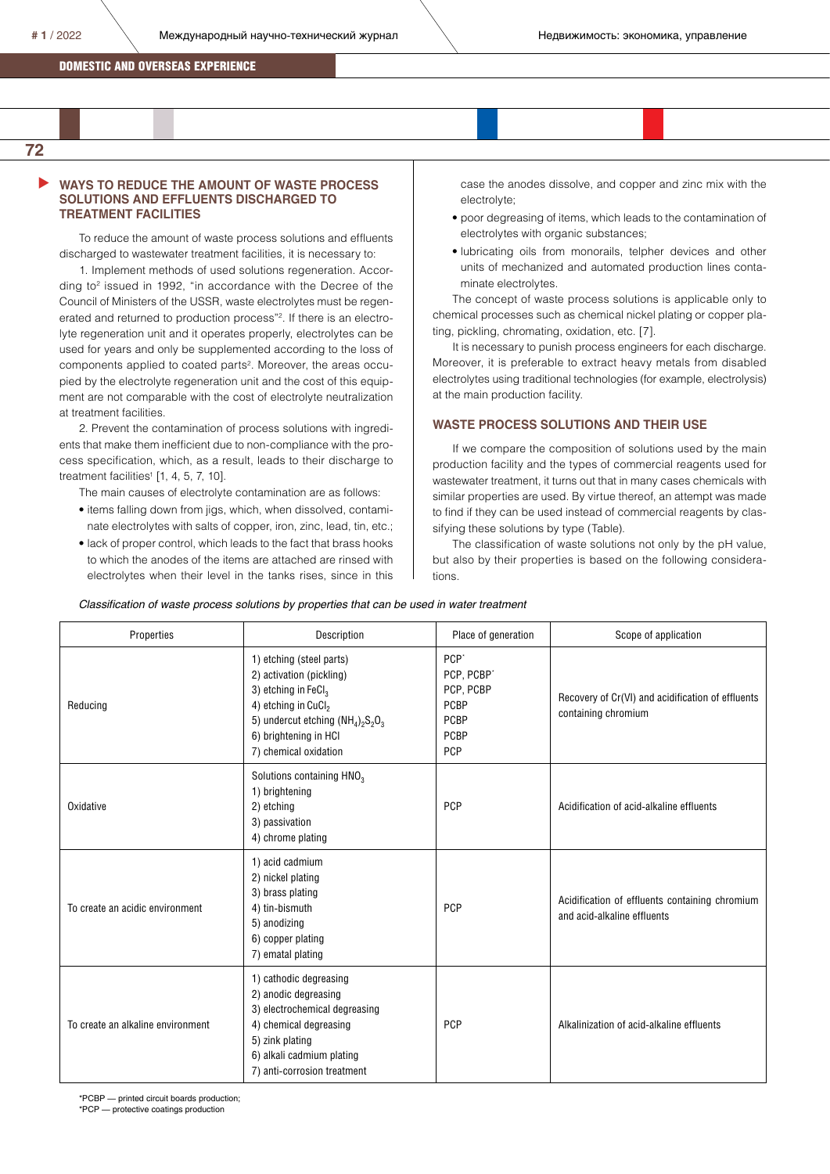$\blacktriangleright$ 

### **WAYS TO REDUCE THE AMOUNT OF WASTE PROCESS SOLUTIONS AND EFFLUENTS DISCHARGED TO TREATMENT FACILITIES**

To reduce the amount of waste process solutions and effluents discharged to wastewater treatment facilities, it is necessary to:

1. Implement methods of used solutions regeneration. According to2 issued in 1992, "in accordance with the Decree of the Council of Ministers of the USSR, waste electrolytes must be regenerated and returned to production process"2 . If there is an electrolyte regeneration unit and it operates properly, electrolytes can be used for years and only be supplemented according to the loss of components applied to coated parts<sup>2</sup>. Moreover, the areas occupied by the electrolyte regeneration unit and the cost of this equipment are not comparable with the cost of electrolyte neutralization at treatment facilities.

2. Prevent the contamination of process solutions with ingredients that make them inefficient due to non-compliance with the process specification, which, as a result, leads to their discharge to treatment facilities<sup>1</sup> [1, 4, 5, 7, 10].

The main causes of electrolyte contamination are as follows:

- items falling down from jigs, which, when dissolved, contaminate electrolytes with salts of copper, iron, zinc, lead, tin, etc.;
- lack of proper control, which leads to the fact that brass hooks to which the anodes of the items are attached are rinsed with electrolytes when their level in the tanks rises, since in this

case the anodes dissolve, and copper and zinc mix with the electrolyte;

- poor degreasing of items, which leads to the contamination of electrolytes with organic substances;
- lubricating oils from monorails, telpher devices and other units of mechanized and automated production lines contaminate electrolytes.

The concept of waste process solutions is applicable only to chemical processes such as chemical nickel plating or copper plating, pickling, chromating, oxidation, etc. [7].

It is necessary to punish process engineers for each discharge. Moreover, it is preferable to extract heavy metals from disabled electrolytes using traditional technologies (for example, electrolysis) at the main production facility.

### **WASTE PROCESS SOLUTIONS AND THEIR USE**

If we compare the composition of solutions used by the main production facility and the types of commercial reagents used for wastewater treatment, it turns out that in many cases chemicals with similar properties are used. By virtue thereof, an attempt was made to find if they can be used instead of commercial reagents by classifying these solutions by type (Table).

The classification of waste solutions not only by the pH value, but also by their properties is based on the following considerations.

Properties **Properties Place of generation** Place of generation Scope of application Reducing 1) etching (steel parts) 2) activation (pickling) 3) etching in FeC $I_3$ 4) etching in CuCl<sub>2</sub> 5) undercut etching  $(NH_4)_2S_2O_3$ 6) brightening in HCl 7) chemical oxidation PCP<sup>\*</sup> PCP, PCBP PCP, PCBP PCBP PCBP PCBP PCP Recovery of Cr(VI) and acidification of effluents containing chromium **Oxidative** Solutions containing HNO<sub>3</sub> 1) brightening 2) etching 3) passivation 4) chrome plating PCP | Acidification of acid-alkaline effluents To create an acidic environment 1) acid cadmium 2) nickel plating 3) brass plating 4) tin-bismuth 5) anodizing 6) copper plating 7) ematal plating PCP Acidification of effluents containing chromium and acid-alkaline effluents To create an alkaline environment 1) cathodic degreasing 2) anodic degreasing 3) electrochemical degreasing 4) chemical degreasing 5) zink plating 6) alkali cadmium plating 7) anti-corrosion treatment PCP Alkalinization of acid-alkaline effluents

*Classification of waste process solutions by properties that can be used in water treatment*

\*PCBP — printed circuit boards production; \*PCP — protective coatings production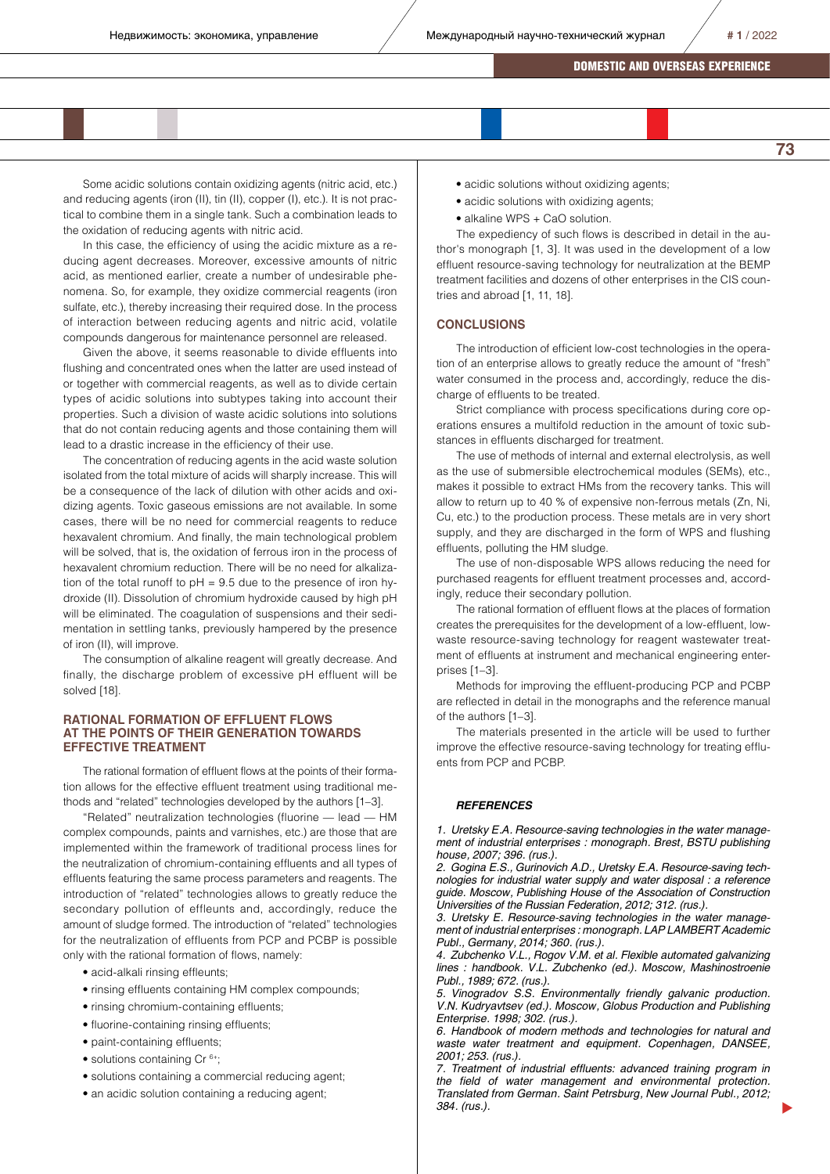**73**

# DOMESTIC AND OVERSEAS EXPERIENCE

Some acidic solutions contain oxidizing agents (nitric acid, etc.) and reducing agents (iron (II), tin (II), copper (I), etc.). It is not practical to combine them in a single tank. Such a combination leads to the oxidation of reducing agents with nitric acid.

In this case, the efficiency of using the acidic mixture as a reducing agent decreases. Moreover, excessive amounts of nitric acid, as mentioned earlier, create a number of undesirable phenomena. So, for example, they oxidize commercial reagents (iron sulfate, etc.), thereby increasing their required dose. In the process of interaction between reducing agents and nitric acid, volatile compounds dangerous for maintenance personnel are released.

Given the above, it seems reasonable to divide effluents into flushing and concentrated ones when the latter are used instead of or together with commercial reagents, as well as to divide certain types of acidic solutions into subtypes taking into account their properties. Such a division of waste acidic solutions into solutions that do not contain reducing agents and those containing them will lead to a drastic increase in the efficiency of their use.

The concentration of reducing agents in the acid waste solution isolated from the total mixture of acids will sharply increase. This will be a consequence of the lack of dilution with other acids and oxidizing agents. Toxic gaseous emissions are not available. In some cases, there will be no need for commercial reagents to reduce hexavalent chromium. And finally, the main technological problem will be solved, that is, the oxidation of ferrous iron in the process of hexavalent chromium reduction. There will be no need for alkalization of the total runoff to  $pH = 9.5$  due to the presence of iron hydroxide (II). Dissolution of chromium hydroxide caused by high pH will be eliminated. The coagulation of suspensions and their sedimentation in settling tanks, previously hampered by the presence of iron (II), will improve.

The consumption of alkaline reagent will greatly decrease. And finally, the discharge problem of excessive pH effluent will be solved [18].

### **RATIONAL FORMATION OF EFFLUENT FLOWS AT THE POINTS OF THEIR GENERATION TOWARDS EFFECTIVE TREATMENT**

The rational formation of effluent flows at the points of their formation allows for the effective effluent treatment using traditional methods and "related" technologies developed by the authors [1–3].

"Related" neutralization technologies (fluorine — lead — HM complex compounds, paints and varnishes, etc.) are those that are implemented within the framework of traditional process lines for the neutralization of chromium-containing effluents and all types of effluents featuring the same process parameters and reagents. The introduction of "related" technologies allows to greatly reduce the secondary pollution of effleunts and, accordingly, reduce the amount of sludge formed. The introduction of "related" technologies for the neutralization of effluents from PCP and PCBP is possible only with the rational formation of flows, namely:

- acid-alkali rinsing effleunts;
- rinsing effluents containing HM complex compounds;
- rinsing chromium-containing effluents;
- fluorine-containing rinsing effluents;
- paint-containing effluents:
- solutions containing Cr<sup>6+</sup>;
- solutions containing a commercial reducing agent;
- an acidic solution containing a reducing agent;
- acidic solutions without oxidizing agents;
- acidic solutions with oxidizing agents;
- alkaline WPS + CaO solution.

The expediency of such flows is described in detail in the author's monograph [1, 3]. It was used in the development of a low effluent resource-saving technology for neutralization at the BEMP treatment facilities and dozens of other enterprises in the CIS countries and abroad [1, 11, 18].

#### **CONCLUSIONS**

The introduction of efficient low-cost technologies in the operation of an enterprise allows to greatly reduce the amount of "fresh" water consumed in the process and, accordingly, reduce the discharge of effluents to be treated.

Strict compliance with process specifications during core operations ensures a multifold reduction in the amount of toxic substances in effluents discharged for treatment.

The use of methods of internal and external electrolysis, as well as the use of submersible electrochemical modules (SEMs), etc., makes it possible to extract HMs from the recovery tanks. This will allow to return up to 40 % of expensive non-ferrous metals (Zn, Ni, Cu, etc.) to the production process. These metals are in very short supply, and they are discharged in the form of WPS and flushing effluents, polluting the HM sludge.

The use of non-disposable WPS allows reducing the need for purchased reagents for effluent treatment processes and, accordingly, reduce their secondary pollution.

The rational formation of effluent flows at the places of formation creates the prerequisites for the development of a low-effluent, lowwaste resource-saving technology for reagent wastewater treatment of effluents at instrument and mechanical engineering enterprises [1–3].

Methods for improving the effluent-producing PCP and PCBP are reflected in detail in the monographs and the reference manual of the authors [1–3].

The materials presented in the article will be used to further improve the effective resource-saving technology for treating effluents from PCP and PCBP.

#### *REFERENCES*

*1. Uretsky E.A. Resource-saving technologies in the water management of industrial enterprises : monograph. Brest, BSTU publishing house, 2007; 396. (rus.).*

*2. Gogina E.S., Gurinovich A.D., Uretsky E.A. Resource-saving technologies for industrial water supply and water disposal : a reference guide. Moscow, Publishing House of the Association of Construction Universities of the Russian Federation, 2012; 312. (rus.).*

*3. Uretsky E. Resource-saving technologies in the water management of industrial enterprises : monograph. LAP LAMBERT Academic Publ., Germany, 2014; 360. (rus.).*

*4. Zubchenko V.L., Rogov V.M. et al. Flexible automated galvanizing lines : handbook. V.L. Zubchenko (ed.). Moscow, Mashinostroenie Publ., 1989; 672. (rus.).*

*5. Vinogradov S.S. Environmentally friendly galvanic production. V.N. Kudryavtsev (ed.). Moscow, Globus Production and Publishing Enterprise. 1998; 302. (rus.).*

*6. Handbook of modern methods and technologies for natural and waste water treatment and equipment. Copenhagen, DANSEE, 2001; 253. (rus.).*

*7. Treatment of industrial effluents: advanced training program in the field of water management and environmental protection. Translated from German. Saint Petrsburg, New Journal Publ., 2012; 384. (rus.).*

 $\blacktriangleright$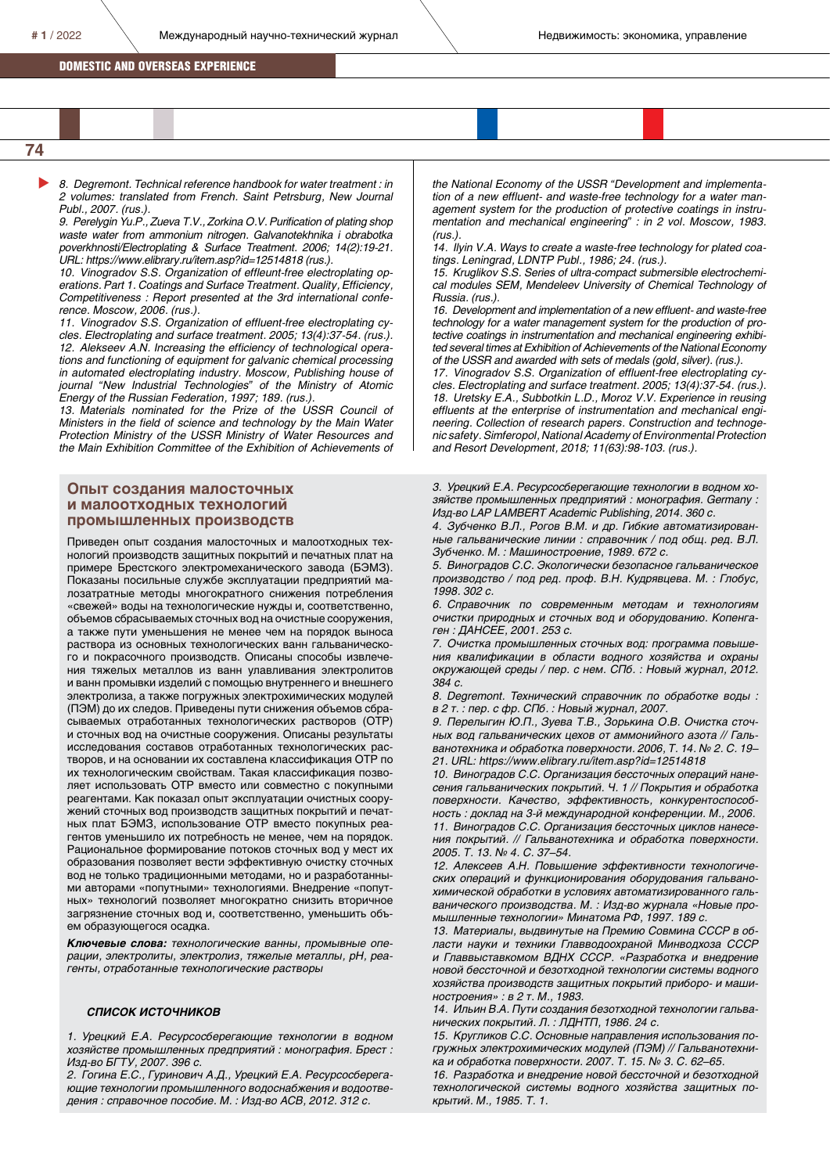$#1/2022$  Международный научно-технический журнал **Heдвижимость: экономика, управление** 

### DOMESTIC AND OVERSEAS EXPERIENCE

 $\blacktriangleright$ 

*8. Degremont. Technical reference handbook for water treatment : in 2 volumes: translated from French. Saint Petrsburg, New Journal Publ., 2007. (rus.).*

*9. Perelygin Yu.P., Zueva T.V., Zorkina O.V. Purification of plating shop waste water from ammonium nitrogen. Galvanotekhnika i obrabotka poverkhnosti/Electroplating & Surface Treatment. 2006; 14(2):19-21. URL: https://www.elibrary.ru/item.asp?id=12514818 (rus.).*

*10. Vinogradov S.S. Organization of effleunt-free electroplating operations. Part 1. Coatings and Surface Treatment. Quality, Efficiency, Competitiveness : Report presented at the 3rd international conference. Moscow, 2006. (rus.).*

*11. Vinogradov S.S. Organization of effluent-free electroplating cycles. Electroplating and surface treatment. 2005; 13(4):37-54. (rus.). 12. Alekseev A.N. Increasing the efficiency of technological operations and functioning of equipment for galvanic chemical processing in automated electroplating industry. Moscow, Publishing house of journal "New Industrial Technologies" of the Ministry of Atomic Energy of the Russian Federation, 1997; 189. (rus.).*

*13. Materials nominated for the Prize of the USSR Council of Ministers in the field of science and technology by the Main Water Protection Ministry of the USSR Ministry of Water Resources and the Main Exhibition Committee of the Exhibition of Achievements of* 

# **Опыт создания малосточных и малоотходных технологий промышленных производств**

Приведен опыт создания малосточных и малоотходных технологий производств защитных покрытий и печатных плат на примере Брестского электромеханического завода (БЭМЗ). Показаны посильные службе эксплуатации предприятий малозатратные методы многократного снижения потребления «свежей» воды на технологические нужды и, соответственно, объемов сбрасываемых сточных вод на очистные сооружения, а также пути уменьшения не менее чем на порядок выноса раствора из основных технологических ванн гальванического и покрасочного производств. Описаны способы извлечения тяжелых металлов из ванн улавливания электролитов и ванн промывки изделий с помощью внутреннего и внешнего электролиза, а также погружных электрохимических модулей (ПЭМ) до их следов. Приведены пути снижения объемов сбрасываемых отработанных технологических растворов (ОТР) и сточных вод на очистные сооружения. Описаны результаты исследования составов отработанных технологических растворов, и на основании их составлена классификация ОТР по их технологическим свойствам. Такая классификация позволяет использовать ОТР вместо или совместно с покупными реагентами. Как показал опыт эксплуатации очистных сооружений сточных вод производств защитных покрытий и печатных плат БЭМЗ, использование ОТР вместо покупных реагентов уменьшило их потребность не менее, чем на порядок. Рациональное формирование потоков сточных вод у мест их образования позволяет вести эффективную очистку сточных вод не только традиционными методами, но и разработанными авторами «попутными» технологиями. Внедрение «попутных» технологий позволяет многократно снизить вторичное загрязнение сточных вод и, соответственно, уменьшить объем образующегося осадка.

*Ключевые слова: технологические ванны, промывные операции, электролиты, электролиз, тяжелые металлы, рН, реагенты, отработанные технологические растворы*

#### *СПИСОК ИСТОЧНИКОВ*

*1. Урецкий Е.А. Ресурсосберегающие технологии в водном хозяйстве промышленных предприятий : монография. Брест : Изд-во БГТУ, 2007. 396 с.*

*2. Гогина Е.С., Гуринович А.Д., Урецкий Е.А. Ресурсосберегающие технологии промышленного водоснабжения и водоотведения : справочное пособие. М. : Изд-во АСВ, 2012. 312 с.*

*the National Economy of the USSR "Development and implementation of a new effluent- and waste-free technology for a water management system for the production of protective coatings in instrumentation and mechanical engineering" : in 2 vol. Moscow, 1983. (rus.).*

*14. Ilyin V.A. Ways to create a waste-free technology for plated coatings. Leningrad, LDNTP Publ., 1986; 24. (rus.).*

*15. Kruglikov S.S. Series of ultra-compact submersible electrochemical modules SEM, Mendeleev University of Chemical Technology of Russia. (rus.).*

*16. Development and implementation of a new effluent- and waste-free technology for a water management system for the production of protective coatings in instrumentation and mechanical engineering exhibited several times at Exhibition of Achievements of the National Economy of the USSR and awarded with sets of medals (gold, silver). (rus.).*

*17. Vinogradov S.S. Organization of effluent-free electroplating cycles. Electroplating and surface treatment. 2005; 13(4):37-54. (rus.). 18. Uretsky E.A., Subbotkin L.D., Moroz V.V. Experience in reusing effluents at the enterprise of instrumentation and mechanical engineering. Collection of research papers. Construction and technogenic safety. Simferopol, National Academy of Environmental Protection and Resort Development, 2018; 11(63):98-103. (rus.).*

*3. Урецкий Е.А. Ресурсосберегающие технологии в водном хозяйстве промышленных предприятий : монография. Germany : Изд-во LAP LAMBERT Academic Publishing, 2014. 360 с.*

*4. Зубченко В.Л., Рогов В.М. и др. Гибкие автоматизированные гальванические линии : справочник / под общ. ред. В.Л. Зубченко. М. : Машиностроение, 1989. 672 с.*

*5. Виноградов С.С. Экологически безопасное гальваническое производство / под ред. проф. В.Н. Кудрявцева. М. : Глобус, 1998. 302 с.*

*6. Справочник по современным методам и технологиям очистки природных и сточных вод и оборудованию. Копенгаген : ДАНСЕЕ, 2001. 253 с.*

*7. Очистка промышленных сточных вод: программа повышения квалификации в области водного хозяйства и охраны окружающей среды / пер. с нем. СПб. : Новый журнал, 2012. 384 с.*

*8. Degremont. Технический справочник по обработке воды : в 2 т. : пер. с фр. СПб. : Новый журнал, 2007.*

*9. Перелыгин Ю.П., Зуева Т.В., Зорькина О.В. Очистка сточных вод гальванических цехов от аммонийного азота // Гальванотехника и обработка поверхности. 2006, Т. 14. № 2. С. 19– 21. URL: https://www.elibrary.ru/item.asp?id=12514818*

*10. Виноградов С.С. Организация бессточных операций нанесения гальванических покрытий. Ч. 1 // Покрытия и обработка поверхности. Качество, эффективность, конкурентоспособность : доклад на 3-й международной конференции. М., 2006. 11. Виноградов С.С. Организация бессточных циклов нанесения покрытий. // Гальванотехника и обработка поверхности. 2005. Т. 13. № 4. С. 37–54.* 

*12. Алексеев А.Н. Повышение эффективности технологических операций и функционирования оборудования гальванохимической обработки в условиях автоматизированного гальванического производства. М. : Изд-во журнала «Новые промышленные технологии» Минатома РФ, 1997. 189 с.*

*13. Материалы, выдвинутые на Премию Совмина СССР в области науки и техники Главводоохраной Минводхоза СССР и Главвыставкомом ВДНХ СССР. «Разработка и внедрение новой бессточной и безотходной технологии системы водного хозяйства производств защитных покрытий приборо- и машиностроения» : в 2 т. М., 1983.*

*14. Ильин В.А. Пути создания безотходной технологии гальванических покрытий. Л. : ЛДНТП, 1986. 24 с.*

*15. Кругликов С.С. Основные направления использования погружных электрохимических модулей (ПЭМ) // Гальванотехника и обработка поверхности. 2007. Т. 15. № 3. С. 62–65.* 

*16. Разработка и внедрение новой бессточной и безотходной технологической системы водного хозяйства защитных покрытий. М., 1985. Т. 1.*